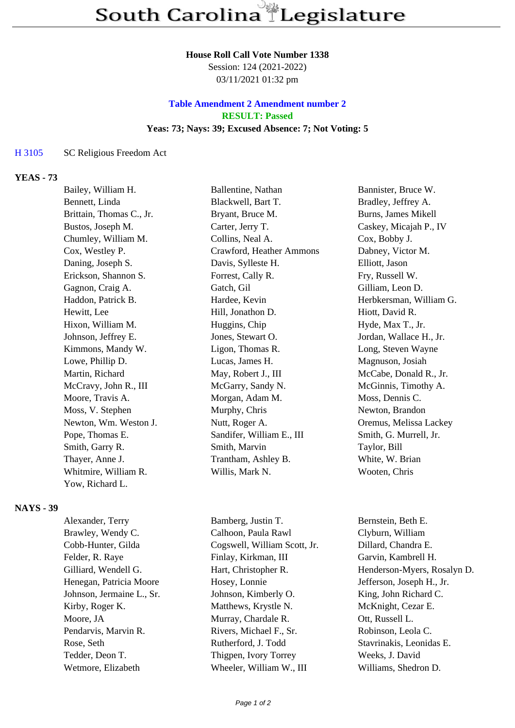### **House Roll Call Vote Number 1338**

Session: 124 (2021-2022) 03/11/2021 01:32 pm

## **Table Amendment 2 Amendment number 2 RESULT: Passed Yeas: 73; Nays: 39; Excused Absence: 7; Not Voting: 5**

### H 3105 SC Religious Freedom Act

## **YEAS - 73**

| Bailey, William H.       | Ballentine, Nathan        | Bannister, Bruce W.     |
|--------------------------|---------------------------|-------------------------|
| Bennett, Linda           | Blackwell, Bart T.        | Bradley, Jeffrey A.     |
| Brittain, Thomas C., Jr. | Bryant, Bruce M.          | Burns, James Mikell     |
| Bustos, Joseph M.        | Carter, Jerry T.          | Caskey, Micajah P., IV  |
| Chumley, William M.      | Collins, Neal A.          | Cox, Bobby J.           |
| Cox, Westley P.          | Crawford, Heather Ammons  | Dabney, Victor M.       |
| Daning, Joseph S.        | Davis, Sylleste H.        | Elliott, Jason          |
| Erickson, Shannon S.     | Forrest, Cally R.         | Fry, Russell W.         |
| Gagnon, Craig A.         | Gatch, Gil                | Gilliam, Leon D.        |
| Haddon, Patrick B.       | Hardee, Kevin             | Herbkersman, William G. |
| Hewitt, Lee              | Hill, Jonathon D.         | Hiott, David R.         |
| Hixon, William M.        | Huggins, Chip             | Hyde, Max T., Jr.       |
| Johnson, Jeffrey E.      | Jones, Stewart O.         | Jordan, Wallace H., Jr. |
| Kimmons, Mandy W.        | Ligon, Thomas R.          | Long, Steven Wayne      |
| Lowe, Phillip D.         | Lucas, James H.           | Magnuson, Josiah        |
| Martin, Richard          | May, Robert J., III       | McCabe, Donald R., Jr.  |
| McCravy, John R., III    | McGarry, Sandy N.         | McGinnis, Timothy A.    |
| Moore, Travis A.         | Morgan, Adam M.           | Moss, Dennis C.         |
| Moss, V. Stephen         | Murphy, Chris             | Newton, Brandon         |
| Newton, Wm. Weston J.    | Nutt, Roger A.            | Oremus, Melissa Lackey  |
| Pope, Thomas E.          | Sandifer, William E., III | Smith, G. Murrell, Jr.  |
| Smith, Garry R.          | Smith, Marvin             | Taylor, Bill            |
| Thayer, Anne J.          | Trantham, Ashley B.       | White, W. Brian         |
| Whitmire, William R.     | Willis, Mark N.           | Wooten, Chris           |
| Yow, Richard L.          |                           |                         |

### **NAYS - 39**

| Alexander, Terry          |
|---------------------------|
| Brawley, Wendy C.         |
| Cobb-Hunter, Gilda        |
| Felder, R. Raye           |
| Gilliard, Wendell G.      |
| Henegan, Patricia Moore   |
| Johnson, Jermaine L., Sr. |
| Kirby, Roger K.           |
| Moore, JA                 |
| Pendarvis, Marvin R.      |
| Rose, Seth                |
| Tedder, Deon T.           |
| Wetmore, Elizabeth        |

Bamberg, Justin T. Bernstein, Beth E. Calhoon, Paula Rawl Clyburn, William Cogswell, William Scott, Jr. Dillard, Chandra E. Finlay, Kirkman, III Garvin, Kambrell H. Hosey, Lonnie Jefferson, Joseph H., Jr. Johnson, Kimberly O. King, John Richard C. Matthews, Krystle N. McKnight, Cezar E. Murray, Chardale R. Ott, Russell L. Rivers, Michael F., Sr. Robinson, Leola C. Rutherford, J. Todd Stavrinakis, Leonidas E. Thigpen, Ivory Torrey Weeks, J. David Wheeler, William W., III Williams, Shedron D.

Hart, Christopher R. Henderson-Myers, Rosalyn D.